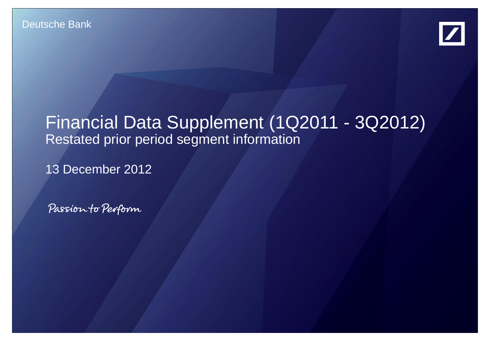

# Financial Data Supplement (1Q2011 - 3Q2012) Restated prior period segment information

13 December 2012

Passion to Perform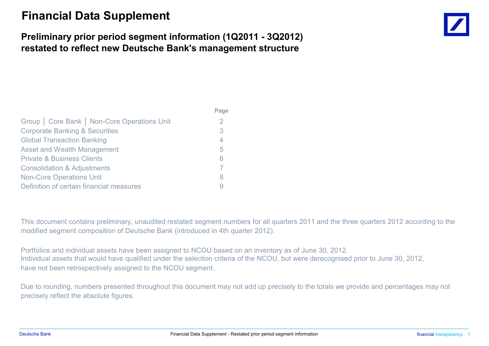## **Financial Data Supplement**

### **Preliminary prior period segment information (1Q2011 - 3Q2012) restated to reflect new Deutsche Bank's management structure**

|                                              | г ачс |  |  |  |  |
|----------------------------------------------|-------|--|--|--|--|
| Group   Core Bank   Non-Core Operations Unit | 2     |  |  |  |  |
| <b>Corporate Banking &amp; Securities</b>    | 3     |  |  |  |  |
| <b>Global Transaction Banking</b>            | 4     |  |  |  |  |
| <b>Asset and Wealth Management</b>           |       |  |  |  |  |
| <b>Private &amp; Business Clients</b>        |       |  |  |  |  |
| <b>Consolidation &amp; Adjustments</b>       |       |  |  |  |  |
| <b>Non-Core Operations Unit</b>              | 8     |  |  |  |  |
| Definition of certain financial measures     |       |  |  |  |  |
|                                              |       |  |  |  |  |

This document contains preliminary, unaudited restated segment numbers for all quarters 2011 and the three quarters 2012 according to the modified segment composition of Deutsche Bank (introduced in 4th quarter 2012).

Portfolios and individual assets have been assigned to NCOU based on an inventory as of June 30, 2012. Individual assets that would have qualified under the selection criteria of the NCOU, but were derecognised prior to June 30, 2012, have not been retrospectively assigned to the NCOU segment.

**Page**

Due to rounding, numbers presented throughout this document may not add up precisely to the totals we provide and percentages may not precisely reflect the absolute figures.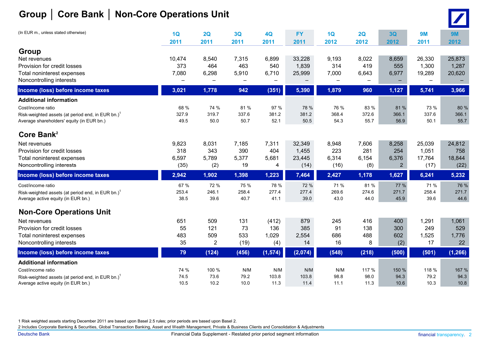## **Group │ Core Bank │ Non-Core Operations Unit**

|--|--|

| (In EUR m., unless stated otherwise)                                                                                                                             | 1Q<br>2011                    | 2Q<br>2011                          | 3Q<br>2011                  | 4Q<br>2011                   | <b>FY</b><br>2011                 | 1Q<br>2012                    | 2Q<br>2012                   | 3Q<br>2012                              | <b>9M</b><br>2011                 | 9M<br>2012                      |
|------------------------------------------------------------------------------------------------------------------------------------------------------------------|-------------------------------|-------------------------------------|-----------------------------|------------------------------|-----------------------------------|-------------------------------|------------------------------|-----------------------------------------|-----------------------------------|---------------------------------|
| Group<br>Net revenues<br>Provision for credit losses<br>Total noninterest expenses<br>Noncontrolling interests                                                   | 10,474<br>373<br>7,080        | 8,540<br>464<br>6,298               | 7,315<br>463<br>5,910       | 6,899<br>540<br>6,710        | 33,228<br>1,839<br>25,999         | 9,193<br>314<br>7,000         | 8,022<br>419<br>6,643        | 8,659<br>555<br>6,977                   | 26,330<br>1,300<br>19,289         | 25,873<br>1,287<br>20,620       |
| Income (loss) before income taxes                                                                                                                                | 3,021                         | 1,778                               | 942                         | (351)                        | 5,390                             | 1,879                         | 960                          | 1,127                                   | 5,741                             | 3,966                           |
| <b>Additional information</b><br>Cost/income ratio<br>Risk-weighted assets (at period end, in EUR bn.) <sup>1</sup><br>Average shareholders' equity (in EUR bn.) | 68 %<br>327.9<br>49.5         | 74 %<br>319.7<br>50.0               | 81 %<br>337.6<br>50.7       | 97 %<br>381.2<br>52.1        | 78 %<br>381.2<br>50.5             | 76 %<br>368.4<br>54.3         | 83 %<br>372.6<br>55.7        | 81 %<br>366.1<br>56.9                   | 73 %<br>337.6<br>50.1             | 80 %<br>366.1<br>55.7           |
| Core Bank <sup>2</sup>                                                                                                                                           |                               |                                     |                             |                              |                                   |                               |                              |                                         |                                   |                                 |
| Net revenues<br>Provision for credit losses<br>Total noninterest expenses<br>Noncontrolling interests                                                            | 9,823<br>318<br>6,597<br>(35) | 8,031<br>343<br>5,789<br>(2)        | 7,185<br>390<br>5,377<br>19 | 7,311<br>404<br>5,681<br>4   | 32,349<br>1,455<br>23,445<br>(14) | 8,948<br>223<br>6,314<br>(16) | 7,606<br>281<br>6,154<br>(8) | 8,258<br>254<br>6,376<br>$\overline{2}$ | 25,039<br>1,051<br>17,764<br>(17) | 24,812<br>758<br>18,844<br>(22) |
| Income (loss) before income taxes                                                                                                                                | 2,942                         | 1,902                               | 1,398                       | 1,223                        | 7,464                             | 2,427                         | 1,178                        | 1,627                                   | 6,241                             | 5,232                           |
| Cost/income ratio<br>Risk-weighted assets (at period end, in EUR bn.) <sup>1</sup><br>Average active equity (in EUR bn.)                                         | 67 %<br>253.4<br>38.5         | 72 %<br>246.1<br>39.6               | 75 %<br>258.4<br>40.7       | 78 %<br>277.4<br>41.1        | 72 %<br>277.4<br>39.0             | 71 %<br>269.6<br>43.0         | 81 %<br>274.6<br>44.0        | 77 %<br>271.7<br>45.9                   | 71 %<br>258.4<br>39.6             | 76 %<br>271.7<br>44.6           |
| <b>Non-Core Operations Unit</b>                                                                                                                                  |                               |                                     |                             |                              |                                   |                               |                              |                                         |                                   |                                 |
| Net revenues<br>Provision for credit losses<br>Total noninterest expenses<br>Noncontrolling interests                                                            | 651<br>55<br>483<br>35        | 509<br>121<br>509<br>$\overline{2}$ | 131<br>73<br>533<br>(19)    | (412)<br>136<br>1,029<br>(4) | 879<br>385<br>2,554<br>14         | 245<br>91<br>686<br>16        | 416<br>138<br>488<br>8       | 400<br>300<br>602<br>(2)                | 1,291<br>249<br>1,525<br>17       | 1,061<br>529<br>1,776<br>22     |
| Income (loss) before income taxes                                                                                                                                | 79                            | (124)                               | (456)                       | (1, 574)                     | (2,074)                           | (548)                         | (218)                        | (500)                                   | (501)                             | (1, 266)                        |
| <b>Additional information</b><br>Cost/income ratio                                                                                                               | 74 %                          | 100 %                               | N/M                         | N/M                          | N/M                               | N/M                           | 117 %                        |                                         | 118 %                             | 167 %                           |
| Risk-weighted assets (at period end, in EUR bn.) <sup>1</sup><br>Average active equity (in EUR bn.)                                                              | 74.5<br>10.5                  | 73.6<br>10.2                        | 79.2<br>10.0                | 103.8<br>11.3                | 103.8<br>11.4                     | 98.8<br>11.1                  | 98.0<br>11.3                 | 150 %<br>94.3<br>10.6                   | 79.2<br>10.3                      | 94.3<br>10.8                    |

1 Risk weighted assets starting December 2011 are based upon Basel 2.5 rules; prior periods are based upon Basel 2.

2 Includes Corporate Banking & Securities, Global Transaction Banking, Asset and Wealth Management, Private & Business Clients and Consolidation & Adjustments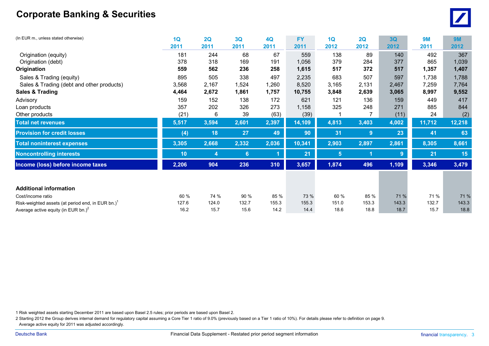### **Corporate Banking & Securities**



| (In EUR m., unless stated otherwise)                          | 1Q    | 2Q    | 3Q    | 4Q    | <b>FY</b> | 1Q             | 2Q             | 3 <sub>Q</sub> | <b>9M</b> | <b>9M</b> |
|---------------------------------------------------------------|-------|-------|-------|-------|-----------|----------------|----------------|----------------|-----------|-----------|
|                                                               | 2011  | 2011  | 2011  | 2011  | 2011      | 2012           | 2012           | 2012           | 2011      | 2012      |
| Origination (equity)                                          | 181   | 244   | 68    | 67    | 559       | 138            | 89             | 140            | 492       | 367       |
| Origination (debt)                                            | 378   | 318   | 169   | 191   | 1,056     | 379            | 284            | 377            | 865       | 1,039     |
| Origination                                                   | 559   | 562   | 236   | 258   | 1,615     | 517            | 372            | 517            | 1,357     | 1,407     |
| Sales & Trading (equity)                                      | 895   | 505   | 338   | 497   | 2,235     | 683            | 507            | 597            | 1,738     | 1,788     |
| Sales & Trading (debt and other products)                     | 3,568 | 2,167 | 1,524 | 1,260 | 8,520     | 3,165          | 2,131          | 2,467          | 7,259     | 7,764     |
| <b>Sales &amp; Trading</b>                                    | 4,464 | 2,672 | 1,861 | 1,757 | 10,755    | 3,848          | 2,639          | 3,065          | 8,997     | 9,552     |
| Advisory                                                      | 159   | 152   | 138   | 172   | 621       | 121            | 136            | 159            | 449       | 417       |
| Loan products                                                 | 357   | 202   | 326   | 273   | 1,158     | 325            | 248            | 271            | 885       | 844       |
| Other products                                                | (21)  | 6     | 39    | (63)  | (39)      |                |                | (11)           | 24        | (2)       |
| <b>Total net revenues</b>                                     | 5,517 | 3,594 | 2,601 | 2,397 | 14,109    | 4,813          | 3,403          | 4,002          | 11,712    | 12,218    |
| <b>Provision for credit losses</b>                            | (4)   | 18    | 27    | 49    | 90        | 31             | 9 <sup>°</sup> | 23             | 41        | 63        |
| <b>Total noninterest expenses</b>                             | 3,305 | 2,668 | 2,332 | 2,036 | 10,341    | 2,903          | 2,897          | 2,861          | 8,305     | 8,661     |
| <b>Noncontrolling interests</b>                               | 10    | 4     | 6     |       | 21        | $5\phantom{1}$ |                | 9              | 21        | 15        |
| Income (loss) before income taxes                             | 2,206 | 904   | 236   | 310   | 3,657     | 1,874          | 496            | 1,109          | 3,346     | 3,479     |
|                                                               |       |       |       |       |           |                |                |                |           |           |
| <b>Additional information</b>                                 |       |       |       |       |           |                |                |                |           |           |
| Cost/income ratio                                             | 60 %  | 74 %  | 90 %  | 85 %  | 73 %      | 60 %           | 85 %           | 71 %           | 71 %      | 71 %      |
| Risk-weighted assets (at period end, in EUR bn.) <sup>1</sup> | 127.6 | 124.0 | 132.7 | 155.3 | 155.3     | 151.0          | 153.3          | 143.3          | 132.7     | 143.3     |
| Average active equity (in EUR bn.) $2$                        | 16.2  | 15.7  | 15.6  | 14.2  | 14.4      | 18.6           | 18.8           | 18.7           | 15.7      | 18.8      |

1 Risk weighted assets starting December 2011 are based upon Basel 2.5 rules; prior periods are based upon Basel 2.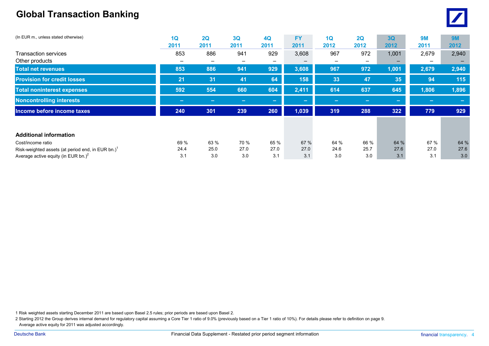### **Global Transaction Banking**



| (In EUR m., unless stated otherwise)                          | 1Q<br>2011               | 2Q<br>2011               | 3Q<br>2011 | 4Q<br>2011               | <b>FY</b><br>2011 | 1Q<br>2012 | 2Q<br>2012 | 3 <sub>Q</sub><br>2012 | 9M<br>2011               | <b>9M</b><br>2012 |
|---------------------------------------------------------------|--------------------------|--------------------------|------------|--------------------------|-------------------|------------|------------|------------------------|--------------------------|-------------------|
| Transaction services                                          | 853                      | 886                      | 941        | 929                      | 3,608             | 967        | 972        | 1,001                  | 2,679                    | 2,940             |
| Other products                                                | $\overline{\phantom{0}}$ | $\overline{\phantom{0}}$ | -          | $\overline{\phantom{0}}$ |                   |            |            |                        | $\overline{\phantom{0}}$ |                   |
| <b>Total net revenues</b>                                     | 853                      | 886                      | 941        | 929                      | 3,608             | 967        | 972        | 1,001                  | 2,679                    | 2,940             |
| <b>Provision for credit losses</b>                            | 21                       | 31                       | 41         | 64                       | 158               | 33         | 47         | 35                     | 94                       | 115               |
| <b>Total noninterest expenses</b>                             | 592                      | 554                      | 660        | 604                      | 2,411             | 614        | 637        | 645                    | 1,806                    | 1,896             |
| <b>Noncontrolling interests</b>                               | <b>COLLECT</b>           | ╾                        |            | $\sim$                   | <b>Contract</b>   | $\equiv$   | $\sim$     | $\sim$                 | <b>Contract</b>          | $\sim$            |
| Income before income taxes                                    | 240                      | 301                      | 239        | 260                      | 1,039             | 319        | 288        | 322                    | 779                      | 929               |
|                                                               |                          |                          |            |                          |                   |            |            |                        |                          |                   |
| <b>Additional information</b>                                 |                          |                          |            |                          |                   |            |            |                        |                          |                   |
| Cost/income ratio                                             | 69 %                     | 63 %                     | 70 %       | 65 %                     | 67 %              | 64 %       | 66 %       | 64 %                   | 67 %                     | 64 %              |
| Risk-weighted assets (at period end, in EUR bn.) <sup>1</sup> | 24.4                     | 25.0                     | 27.0       | 27.0                     | 27.0              | 24.6       | 25.7       | 27.6                   | 27.0                     | 27.6              |
| Average active equity (in EUR bn.) $^{2}$                     | 3.1                      | 3.0                      | 3.0        | 3.1                      | 3.1               | 3.0        | 3.0        | 3.1                    | 3.1                      | 3.0               |

1 Risk weighted assets starting December 2011 are based upon Basel 2.5 rules; prior periods are based upon Basel 2.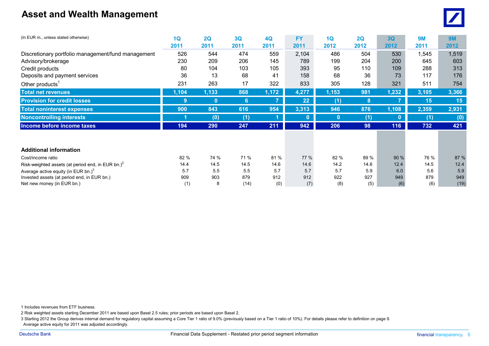### **Asset and Wealth Management**



| (In EUR m., unless stated otherwise)                    | 1Q    | 2Q       | 3Q   | 4Q    | <b>FY</b> | 1Q           | 2Q   | 3Q           | <b>9M</b>      | <b>9M</b> |
|---------------------------------------------------------|-------|----------|------|-------|-----------|--------------|------|--------------|----------------|-----------|
|                                                         | 2011  | 2011     | 2011 | 2011  | 2011      | 2012         | 2012 | 2012         | 2011           | 2012      |
| Discretionary portfolio management/fund management      | 526   | 544      | 474  | 559   | 2,104     | 486          | 504  | 530          | 545,⊺          | 1,519     |
| Advisory/brokerage                                      | 230   | 209      | 206  | 145   | 789       | 199          | 204  | 200          | 645            | 603       |
| Credit products                                         | 80    | 104      | 103  | 105   | 393       | 95           | 110  | 109          | 288            | 313       |
| Deposits and payment services                           | 36    | 13       | 68   | 41    | 158       | 68           | 36   | 73           | 117            | 176       |
| Other products <sup>1</sup>                             | 231   | 263      | 17   | 322   | 833       | 305          | 128  | 321          | 511            | 754       |
| <b>Total net revenues</b>                               | 1,104 | 1,133    | 868  | 1,172 | 4,277     | 1,153        | 981  | 1,232        | 3,105          | 3,366     |
| <b>Provision for credit losses</b>                      | 9     | $\bf{0}$ | 6    |       | 22        | (1)          | 8    |              | 15             | 15        |
| <b>Total noninterest expenses</b>                       | 900   | 843      | 616  | 954   | 3,313     | 946          | 876  | 1,108        | $\sqrt{2,359}$ | 2,931     |
| <b>Noncontrolling interests</b>                         |       | (0)      | (1)  |       | $\bf{0}$  | $\mathbf{0}$ | (1)  | $\mathbf{0}$ | (1)            | (0)       |
| Income before income taxes                              | 194   | 290      | 247  | 211   | 942       | 206          | 98   | 116          | 732            | 421       |
|                                                         |       |          |      |       |           |              |      |              |                |           |
| <b>Additional information</b>                           |       |          |      |       |           |              |      |              |                |           |
| Cost/income ratio                                       | 82 %  | 74 %     | 71 % | 81 %  | 77 %      | 82 %         | 89 % | 90 %         | 76 %           | 87 %      |
| Risk-weighted assets (at period end, in EUR bn.) $^{2}$ | 14.4  | 14.5     | 14.5 | 14.6  | 14.6      | 14.2         | 14.6 | 12.4         | 14.5           | 12.4      |
| Average active equity (in EUR bn.) $3$                  | 5.7   | 5.5      | 5.5  | 5.7   | 5.7       | 5.7          | 5.9  | 6.0          | 5.6            | 5.9       |
| Invested assets (at period end, in EUR bn.)             | 909   | 903      | 879  | 912   | 912       | 922          | 927  | 949          | 879            | 949       |
| Net new money (in EUR bn.)                              | (1)   | 8        | (14) | (0)   | (7)       | (8)          | (5)  | (6)          | (6)            | (19)      |

1 Includes revenues from ETF business.

2 Risk weighted assets starting December 2011 are based upon Basel 2.5 rules; prior periods are based upon Basel 2.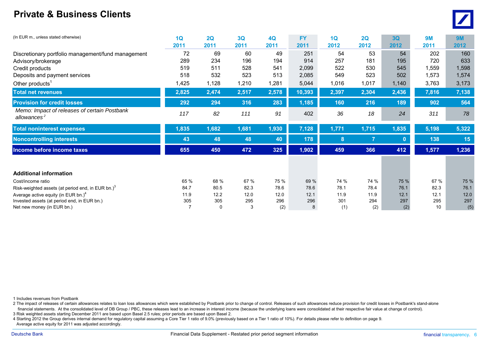#### **Private & Business Clients**



| (In EUR m., unless stated otherwise)                                    | 1Q    | 2Q       | 3Q    | 4Q    | <b>FY</b> | 1Q    | 2Q             | 3Q           | <b>9M</b> | <b>9M</b> |
|-------------------------------------------------------------------------|-------|----------|-------|-------|-----------|-------|----------------|--------------|-----------|-----------|
|                                                                         | 2011  | 2011     | 2011  | 2011  | 2011      | 2012  | 2012           | 2012         | 2011      | 2012      |
| Discretionary portfolio management/fund management                      | 72    | 69       | 60    | 49    | 251       | 54    | 53             | 54           | 202       | 160       |
| Advisory/brokerage                                                      | 289   | 234      | 196   | 194   | 914       | 257   | 181            | 195          | 720       | 633       |
| Credit products                                                         | 519   | 511      | 528   | 541   | 2,099     | 522   | 530            | 545          | 1,559     | 1,598     |
| Deposits and payment services                                           | 518   | 532      | 523   | 513   | 2,085     | 549   | 523            | 502          | 1,573     | 1,574     |
| Other products $1$                                                      | 1,425 | 1,128    | 1,210 | 1,281 | 5,044     | 1,016 | 1,017          | 1,140        | 3,763     | 3,173     |
| <b>Total net revenues</b>                                               | 2,825 | 2,474    | 2,517 | 2,578 | 10,393    | 2,397 | 2,304          | 2,436        | 7,816     | 7,138     |
| <b>Provision for credit losses</b>                                      | 292   | 294      | 316   | 283   | 1,185     | 160   | 216            | 189          | 902       | 564       |
| Memo: Impact of releases of certain Postbank<br>allowances <sup>2</sup> | 117   | 82       | 111   | 91    | 402       | 36    | 18             | 24           | 311       | 78        |
| <b>Total noninterest expenses</b>                                       | 1,835 | 1,682    | 1,681 | 1,930 | 7,128     | 1,771 | 1,715          | 1,835        | 5,198     | 5,322     |
| <b>Noncontrolling interests</b>                                         | 43    | 48       | 48    | 40    | 178       | 8     | $\overline{7}$ | $\mathbf{0}$ | 138       | 15        |
| Income before income taxes                                              | 655   | 450      | 472   | 325   | 1,902     | 459   | 366            | 412          | 1,577     | 1,236     |
|                                                                         |       |          |       |       |           |       |                |              |           |           |
| <b>Additional information</b>                                           |       |          |       |       |           |       |                |              |           |           |
| Cost/income ratio                                                       | 65 %  | 68 %     | 67 %  | 75 %  | 69 %      | 74 %  | 74 %           | 75 %         | 67 %      | 75 %      |
| Risk-weighted assets (at period end, in EUR bn.) <sup>3</sup>           | 84.7  | 80.5     | 82.3  | 78.6  | 78.6      | 78.1  | 78.4           | 76.1         | 82.3      | 76.1      |
| Average active equity (in EUR bn.) $4$                                  | 11.9  | 12.2     | 12.0  | 12.0  | 12.1      | 11.9  | 11.9           | 12.1         | 12.1      | 12.0      |
| Invested assets (at period end, in EUR bn.)                             | 305   | 305      | 295   | 296   | 296       | 301   | 294            | 297          | 295       | 297       |
| Net new money (in EUR bn.)                                              |       | $\Omega$ | 3     | (2)   |           | (1)   | (2)            | (2)          | 10        | (5)       |

1 Includes revenues from Postbank

2 The impact of releases of certain allowances relates to loan loss allowances which were established by Postbank prior to change of control. Releases of such allowances reduce provision for credit losses in Postbank's sta financial statements. At the consolidated level of DB Group / PBC, these releases lead to an increase in interest income (because the underlying loans were consolidated at their respective fair value at change of control). 3 Risk weighted assets starting December 2011 are based upon Basel 2.5 rules; prior periods are based upon Basel 2.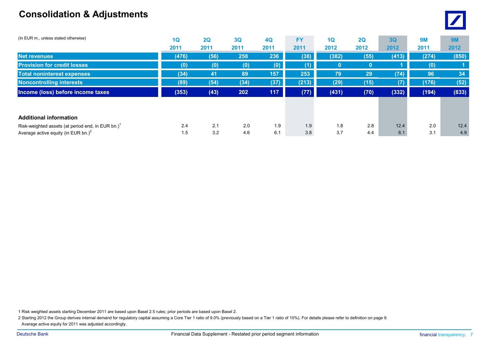### **Consolidation & Adjustments**



| (In EUR m., unless stated otherwise)                          | 1Q    | 2Q   | 3Q   | 4Q   | <b>FY</b> | 1 <sub>Q</sub> | 2Q   | 3Q    | 9M    | <b>9M</b> |
|---------------------------------------------------------------|-------|------|------|------|-----------|----------------|------|-------|-------|-----------|
|                                                               | 2011  | 2011 | 2011 | 2011 | 2011      | 2012           | 2012 | 2012  | 2011  | 2012      |
| <b>Net revenues</b>                                           | (476) | (56) | 258  | 236  | (38)      | (382)          | (55) | (413) | (274) | (850)     |
| <b>Provision for credit losses</b>                            | (0)   | (0)  | (0)  | (0)  | ា         |                |      |       | (0)   |           |
| <b>Total noninterest expenses</b>                             | (34)  | 41   | 89   | 157  | 253       | 79             | 29   | (74)  | 96    | 34        |
| <b>Noncontrolling interests</b>                               | (89)  | (54) | (34) | (37) | (213)     | (29)           | (15) | (7)   | (176) | (52)      |
| Income (loss) before income taxes                             | (353) | (43) | 202  | 117  | (77)      | (431)          | (70) | (332) | (194) | (833)     |
|                                                               |       |      |      |      |           |                |      |       |       |           |
| <b>Additional information</b>                                 |       |      |      |      |           |                |      |       |       |           |
| Risk-weighted assets (at period end, in EUR bn.) <sup>1</sup> | 2.4   | 2.1  | 2.0  | 1.9  | 1.9       | 1.8            | 2.8  | 12.4  | 2.0   | 12.4      |
| Average active equity (in EUR bn.) <sup>2</sup>               | 1.5   | 3.2  | 4.6  | 6.1  | 3.8       | 3.7            | 4.4  | 6.1   | 3.1   | 4.9       |

1 Risk weighted assets starting December 2011 are based upon Basel 2.5 rules; prior periods are based upon Basel 2.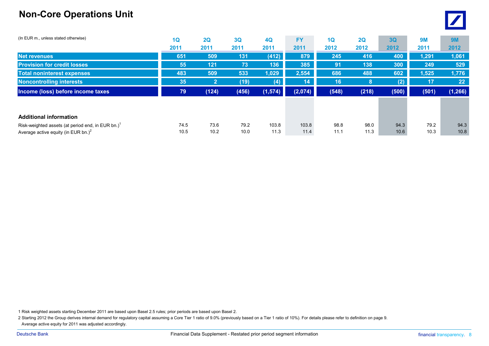### **Non-Core Operations Unit**

| (In EUR m., unless stated otherwise)                  | 1Q   | 2Q             | 3Q    | 4Q                | <b>FY</b> | 1Q    | 2Q    | 3Q    | <b>9M</b> | <b>9M</b>         |
|-------------------------------------------------------|------|----------------|-------|-------------------|-----------|-------|-------|-------|-----------|-------------------|
|                                                       | 2011 | 2011           | 2011  | 2011              | 2011      | 2012  | 2012  | 2012  | 2011      | 2012              |
| <b>Net revenues</b>                                   | 651  | 509            | 131   | (412)             | 879       | 245   | 416   | 400   | 1,291     | 1,061             |
| <b>Provision for credit losses</b>                    | 55   | 121            | 73    | 136               | 385       | 91    | 138   | 300   | 249       | 529               |
| <b>Total noninterest expenses</b>                     | 483  | 509            | 533   | 1,029             | 2,554     | 686   | 488   | 602   | 1,525     | 1,776             |
| <b>Noncontrolling interests</b>                       | 35   | $\overline{2}$ | (19)  | $\left( 4\right)$ | 14        | 16    | 8     | (2)   | 17        | $22 \overline{ }$ |
| Income (loss) before income taxes                     | 79   | (124)          | (456) | (1, 574)          | (2,074)   | (548) | (218) | (500) | (501)     | (1, 266)          |
|                                                       |      |                |       |                   |           |       |       |       |           |                   |
| <b>Additional information</b>                         |      |                |       |                   |           |       |       |       |           |                   |
| Risk-weighted assets (at period end, in EUR bn.) $^1$ | 74.5 | 73.6           | 79.2  | 103.8             | 103.8     | 98.8  | 98.0  | 94.3  | 79.2      | 94.3              |
| Average active equity (in EUR bn.) <sup>2</sup>       | 10.5 | 10.2           | 10.0  | 11.3              | 11.4      | 11.1  | 11.3  | 10.6  | 10.3      | 10.8              |

1 Risk weighted assets starting December 2011 are based upon Basel 2.5 rules; prior periods are based upon Basel 2.